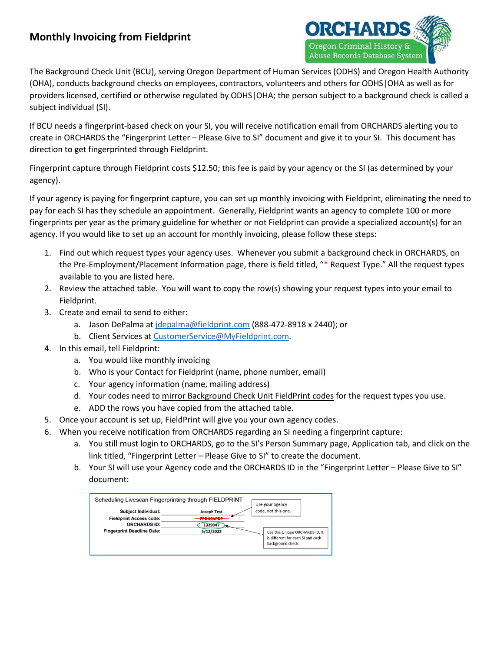

The Background Check Unit (BCU), serving Oregon Department of Human Services (ODHS) and Oregon Health Authority (OHA), conducts background checks on employees, contractors, volunteers and others for ODHS|OHA as well as for providers licensed, certified or otherwise regulated by ODHS|OHA; the person subject to a background check is called a subject individual (SI).

If BCU needs a fingerprint-based check on your SI, you will receive notification email from ORCHARDS alerting you to create in ORCHARDS the "Fingerprint Letter – Please Give to SI" document and give it to your SI. This document has direction to get fingerprinted through Fieldprint.

Fingerprint capture through Fieldprint costs \$12.50; this fee is paid by your agency or the SI (as determined by your agency).

If your agency is paying for fingerprint capture, you can set up monthly invoicing with Fieldprint, eliminating the need to pay for each SI has they schedule an appointment. Generally, Fieldprint wants an agency to complete 100 or more fingerprints per year as the primary guideline for whether or not Fieldprint can provide a specialized account(s) for an agency. If you would like to set up an account for monthly invoicing, please follow these steps:

- 1. Find out which request types your agency uses. Whenever you submit a background check in ORCHARDS, on the Pre-Employment/Placement Information page, there is field titled, "\* Request Type." All the request types available to you are listed here.
- 2. Review the attached table. You will want to copy the row(s) showing your request types into your email to Fieldprint.
- 3. Create and email to send to either:
	- a. Jason DePalma at [jdepalma@fieldprint.com](mailto:jdepalma@fieldprint.com) (888-472-8918 x 2440); or
	- b. Client Services a[t CustomerService@MyFieldprint.com.](mailto:CustomerService@MyFieldprint.com)
- 4. In this email, tell Fieldprint:
	- a. You would like monthly invoicing
	- b. Who is your Contact for Fieldprint (name, phone number, email)
	- c. Your agency information (name, mailing address)
	- d. Your codes need to mirror Background Check Unit FieldPrint codes for the request types you use.
	- e. ADD the rows you have copied from the attached table.
- 5. Once your account is set up, FieldPrint will give you your own agency codes.
- 6. When you receive notification from ORCHARDS regarding an SI needing a fingerprint capture:
	- a. You still must login to ORCHARDS, go to the SI's Person Summary page, Application tab, and click on the link titled, "Fingerprint Letter – Please Give to SI" to create the document.
	- b. Your SI will use your Agency code and the ORCHARDS ID in the "Fingerprint Letter Please Give to SI" document: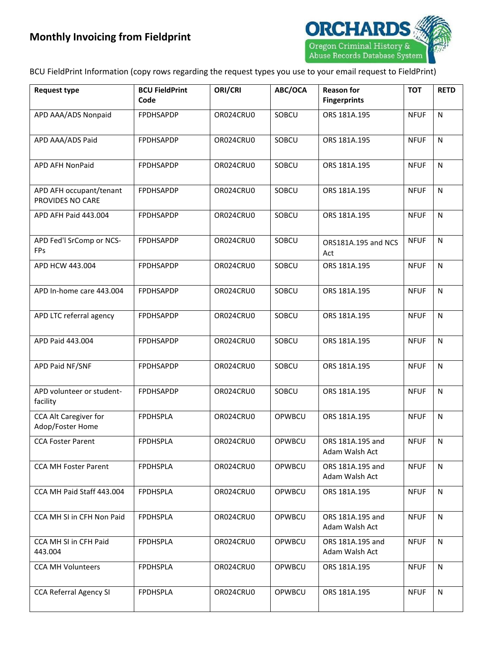

BCU FieldPrint Information (copy rows regarding the request types you use to your email request to FieldPrint)

| <b>Request type</b>                         | <b>BCU FieldPrint</b><br>Code | ORI/CRI   | ABC/OCA | <b>Reason for</b><br><b>Fingerprints</b> | <b>TOT</b>  | <b>RETD</b>  |
|---------------------------------------------|-------------------------------|-----------|---------|------------------------------------------|-------------|--------------|
| APD AAA/ADS Nonpaid                         | FPDHSAPDP                     | OR024CRU0 | SOBCU   | ORS 181A.195                             | <b>NFUF</b> | N            |
| APD AAA/ADS Paid                            | <b>FPDHSAPDP</b>              | OR024CRU0 | SOBCU   | ORS 181A.195                             | <b>NFUF</b> | N            |
| APD AFH NonPaid                             | <b>FPDHSAPDP</b>              | OR024CRU0 | SOBCU   | ORS 181A.195                             | <b>NFUF</b> | N            |
| APD AFH occupant/tenant<br>PROVIDES NO CARE | <b>FPDHSAPDP</b>              | OR024CRU0 | SOBCU   | ORS 181A.195                             | <b>NFUF</b> | N            |
| APD AFH Paid 443.004                        | FPDHSAPDP                     | OR024CRU0 | SOBCU   | ORS 181A.195                             | <b>NFUF</b> | $\mathsf{N}$ |
| APD Fed'l SrComp or NCS-<br><b>FPs</b>      | FPDHSAPDP                     | OR024CRU0 | SOBCU   | ORS181A.195 and NCS<br>Act               | <b>NFUF</b> | N            |
| APD HCW 443.004                             | FPDHSAPDP                     | OR024CRU0 | SOBCU   | ORS 181A.195                             | <b>NFUF</b> | N            |
| APD In-home care 443.004                    | FPDHSAPDP                     | OR024CRU0 | SOBCU   | ORS 181A.195                             | <b>NFUF</b> | N            |
| APD LTC referral agency                     | FPDHSAPDP                     | OR024CRU0 | SOBCU   | ORS 181A.195                             | <b>NFUF</b> | N            |
| APD Paid 443.004                            | <b>FPDHSAPDP</b>              | OR024CRU0 | SOBCU   | ORS 181A.195                             | <b>NFUF</b> | N            |
| APD Paid NF/SNF                             | FPDHSAPDP                     | OR024CRU0 | SOBCU   | ORS 181A.195                             | <b>NFUF</b> | N            |
| APD volunteer or student-<br>facility       | FPDHSAPDP                     | OR024CRU0 | SOBCU   | ORS 181A.195                             | <b>NFUF</b> | N            |
| CCA Alt Caregiver for<br>Adop/Foster Home   | <b>FPDHSPLA</b>               | OR024CRU0 | OPWBCU  | ORS 181A.195                             | <b>NFUF</b> | N            |
| <b>CCA Foster Parent</b>                    | <b>FPDHSPLA</b>               | OR024CRU0 | OPWBCU  | ORS 181A.195 and<br>Adam Walsh Act       | <b>NFUF</b> | N            |
| <b>CCA MH Foster Parent</b>                 | <b>FPDHSPLA</b>               | OR024CRU0 | OPWBCU  | ORS 181A.195 and<br>Adam Walsh Act       | <b>NFUF</b> | N            |
| CCA MH Paid Staff 443.004                   | <b>FPDHSPLA</b>               | OR024CRU0 | OPWBCU  | ORS 181A.195                             | <b>NFUF</b> | N            |
| CCA MH SI in CFH Non Paid                   | <b>FPDHSPLA</b>               | OR024CRU0 | OPWBCU  | ORS 181A.195 and<br>Adam Walsh Act       | <b>NFUF</b> | N.           |
| CCA MH SI in CFH Paid<br>443.004            | <b>FPDHSPLA</b>               | OR024CRU0 | OPWBCU  | ORS 181A.195 and<br>Adam Walsh Act       | <b>NFUF</b> | N            |
| <b>CCA MH Volunteers</b>                    | <b>FPDHSPLA</b>               | OR024CRU0 | OPWBCU  | ORS 181A.195                             | <b>NFUF</b> | N            |
| <b>CCA Referral Agency SI</b>               | <b>FPDHSPLA</b>               | OR024CRU0 | OPWBCU  | ORS 181A.195                             | <b>NFUF</b> | N            |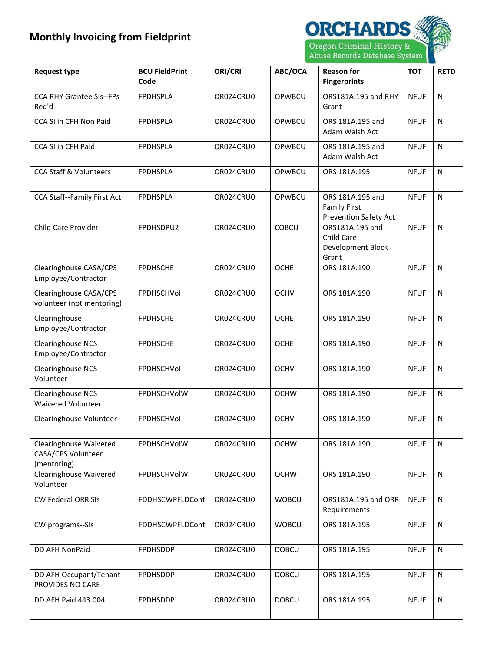

| <b>Request type</b>                                                | <b>BCU FieldPrint</b><br>Code | ORI/CRI   | ABC/OCA      | <b>Reason for</b><br><b>Fingerprints</b>                                | <b>TOT</b>  | <b>RETD</b>  |
|--------------------------------------------------------------------|-------------------------------|-----------|--------------|-------------------------------------------------------------------------|-------------|--------------|
| <b>CCA RHY Grantee SIs--FPs</b><br>Req'd                           | <b>FPDHSPLA</b>               | OR024CRU0 | OPWBCU       | ORS181A.195 and RHY<br>Grant                                            | <b>NFUF</b> | $\mathsf{N}$ |
| CCA SI in CFH Non Paid                                             | <b>FPDHSPLA</b>               | OR024CRU0 | OPWBCU       | ORS 181A.195 and<br>Adam Walsh Act                                      | <b>NFUF</b> | N            |
| CCA SI in CFH Paid                                                 | <b>FPDHSPLA</b>               | OR024CRU0 | OPWBCU       | ORS 181A.195 and<br>Adam Walsh Act                                      | <b>NFUF</b> | $\mathsf{N}$ |
| <b>CCA Staff &amp; Volunteers</b>                                  | <b>FPDHSPLA</b>               | OR024CRU0 | OPWBCU       | ORS 181A.195                                                            | <b>NFUF</b> | $\mathsf{N}$ |
| CCA Staff--Family First Act                                        | <b>FPDHSPLA</b>               | OR024CRU0 | OPWBCU       | ORS 181A.195 and<br><b>Family First</b><br><b>Prevention Safety Act</b> | <b>NFUF</b> | $\mathsf{N}$ |
| Child Care Provider                                                | FPDHSDPU2                     | OR024CRU0 | <b>COBCU</b> | ORS181A.195 and<br>Child Care<br>Development Block<br>Grant             | <b>NFUF</b> | $\mathsf{N}$ |
| Clearinghouse CASA/CPS<br>Employee/Contractor                      | <b>FPDHSCHE</b>               | OR024CRU0 | <b>OCHE</b>  | ORS 181A.190                                                            | <b>NFUF</b> | $\mathsf{N}$ |
| Clearinghouse CASA/CPS<br>volunteer (not mentoring)                | FPDHSCHVol                    | OR024CRU0 | <b>OCHV</b>  | ORS 181A.190                                                            | <b>NFUF</b> | N            |
| Clearinghouse<br>Employee/Contractor                               | <b>FPDHSCHE</b>               | OR024CRU0 | <b>OCHE</b>  | ORS 181A.190                                                            | <b>NFUF</b> | $\mathsf{N}$ |
| <b>Clearinghouse NCS</b><br>Employee/Contractor                    | <b>FPDHSCHE</b>               | OR024CRU0 | <b>OCHE</b>  | ORS 181A.190                                                            | <b>NFUF</b> | $\mathsf{N}$ |
| <b>Clearinghouse NCS</b><br>Volunteer                              | FPDHSCHVol                    | OR024CRU0 | <b>OCHV</b>  | ORS 181A.190                                                            | <b>NFUF</b> | N            |
| <b>Clearinghouse NCS</b><br><b>Waivered Volunteer</b>              | FPDHSCHVolW                   | OR024CRU0 | <b>OCHW</b>  | ORS 181A.190                                                            | <b>NFUF</b> | $\mathsf{N}$ |
| Clearinghouse Volunteer                                            | FPDHSCHVol                    | OR024CRU0 | <b>OCHV</b>  | ORS 181A.190                                                            | <b>NFUF</b> | $\mathsf{N}$ |
| <b>Clearinghouse Waivered</b><br>CASA/CPS Volunteer<br>(mentoring) | FPDHSCHVolW                   | OR024CRU0 | <b>OCHW</b>  | ORS 181A.190                                                            | <b>NFUF</b> | N            |
| Clearinghouse Waivered<br>Volunteer                                | FPDHSCHVolW                   | OR024CRU0 | <b>OCHW</b>  | ORS 181A.190                                                            | <b>NFUF</b> | $\mathsf{N}$ |
| <b>CW Federal ORR SIs</b>                                          | FDDHSCWPFLDCont               | OR024CRU0 | <b>WOBCU</b> | ORS181A.195 and ORR<br>Requirements                                     | <b>NFUF</b> | $\mathsf{N}$ |
| CW programs--SIs                                                   | FDDHSCWPFLDCont               | OR024CRU0 | <b>WOBCU</b> | ORS 181A.195                                                            | <b>NFUF</b> | $\mathsf{N}$ |
| DD AFH NonPaid                                                     | <b>FPDHSDDP</b>               | OR024CRU0 | <b>DOBCU</b> | ORS 181A.195                                                            | <b>NFUF</b> | ${\sf N}$    |
| DD AFH Occupant/Tenant<br>PROVIDES NO CARE                         | <b>FPDHSDDP</b>               | OR024CRU0 | <b>DOBCU</b> | ORS 181A.195                                                            | <b>NFUF</b> | N            |
| DD AFH Paid 443.004                                                | <b>FPDHSDDP</b>               | OR024CRU0 | <b>DOBCU</b> | ORS 181A.195                                                            | <b>NFUF</b> | N            |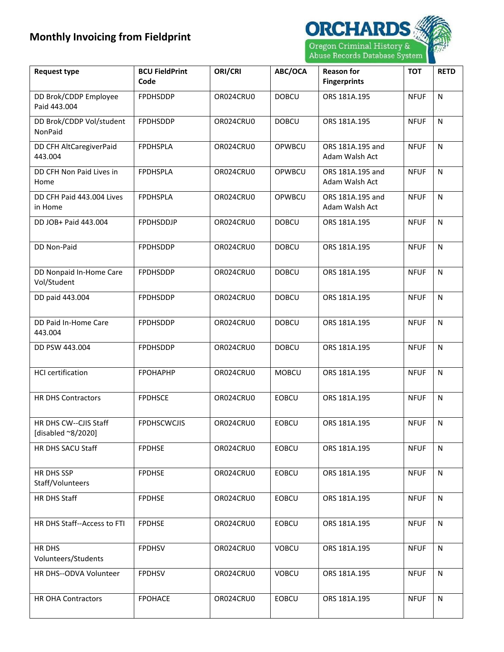

| <b>Request type</b>                         | <b>BCU FieldPrint</b><br>Code | ORI/CRI   | ABC/OCA      | <b>Reason for</b><br><b>Fingerprints</b> | <b>TOT</b>  | <b>RETD</b>  |
|---------------------------------------------|-------------------------------|-----------|--------------|------------------------------------------|-------------|--------------|
| DD Brok/CDDP Employee<br>Paid 443.004       | <b>FPDHSDDP</b>               | OR024CRU0 | <b>DOBCU</b> | ORS 181A.195                             | <b>NFUF</b> | N            |
| DD Brok/CDDP Vol/student<br><b>NonPaid</b>  | <b>FPDHSDDP</b>               | OR024CRU0 | <b>DOBCU</b> | ORS 181A.195                             | <b>NFUF</b> | ${\sf N}$    |
| DD CFH AltCaregiverPaid<br>443.004          | <b>FPDHSPLA</b>               | OR024CRU0 | OPWBCU       | ORS 181A.195 and<br>Adam Walsh Act       | <b>NFUF</b> | ${\sf N}$    |
| DD CFH Non Paid Lives in<br>Home            | <b>FPDHSPLA</b>               | OR024CRU0 | OPWBCU       | ORS 181A.195 and<br>Adam Walsh Act       | <b>NFUF</b> | ${\sf N}$    |
| DD CFH Paid 443.004 Lives<br>in Home        | <b>FPDHSPLA</b>               | OR024CRU0 | OPWBCU       | ORS 181A.195 and<br>Adam Walsh Act       | <b>NFUF</b> | ${\sf N}$    |
| DD JOB+ Paid 443.004                        | FPDHSDDJP                     | OR024CRU0 | <b>DOBCU</b> | ORS 181A.195                             | <b>NFUF</b> | N            |
| DD Non-Paid                                 | <b>FPDHSDDP</b>               | OR024CRU0 | <b>DOBCU</b> | ORS 181A.195                             | <b>NFUF</b> | N            |
| DD Nonpaid In-Home Care<br>Vol/Student      | <b>FPDHSDDP</b>               | OR024CRU0 | <b>DOBCU</b> | ORS 181A.195                             | <b>NFUF</b> | N            |
| DD paid 443.004                             | <b>FPDHSDDP</b>               | OR024CRU0 | <b>DOBCU</b> | ORS 181A.195                             | <b>NFUF</b> | N            |
| DD Paid In-Home Care<br>443.004             | <b>FPDHSDDP</b>               | OR024CRU0 | <b>DOBCU</b> | ORS 181A.195                             | <b>NFUF</b> | N            |
| DD PSW 443.004                              | <b>FPDHSDDP</b>               | OR024CRU0 | <b>DOBCU</b> | ORS 181A.195                             | <b>NFUF</b> | N            |
| <b>HCI</b> certification                    | <b>FPOHAPHP</b>               | OR024CRU0 | <b>MOBCU</b> | ORS 181A.195                             | <b>NFUF</b> | N            |
| <b>HR DHS Contractors</b>                   | <b>FPDHSCE</b>                | OR024CRU0 | <b>EOBCU</b> | ORS 181A.195                             | <b>NFUF</b> | N            |
| HR DHS CW--CJIS Staff<br>[disabled ~8/2020] | <b>FPDHSCWCJIS</b>            | OR024CRU0 | <b>EOBCU</b> | ORS 181A.195                             | <b>NFUF</b> | $\mathsf{N}$ |
| HR DHS SACU Staff                           | <b>FPDHSE</b>                 | OR024CRU0 | <b>EOBCU</b> | ORS 181A.195                             | <b>NFUF</b> | N            |
| HR DHS SSP<br>Staff/Volunteers              | <b>FPDHSE</b>                 | OR024CRU0 | <b>EOBCU</b> | ORS 181A.195                             | <b>NFUF</b> | N            |
| HR DHS Staff                                | <b>FPDHSE</b>                 | OR024CRU0 | EOBCU        | ORS 181A.195                             | <b>NFUF</b> | ${\sf N}$    |
| HR DHS Staff--Access to FTI                 | <b>FPDHSE</b>                 | OR024CRU0 | <b>EOBCU</b> | ORS 181A.195                             | <b>NFUF</b> | N            |
| HR DHS<br>Volunteers/Students               | <b>FPDHSV</b>                 | OR024CRU0 | <b>VOBCU</b> | ORS 181A.195                             | <b>NFUF</b> | N            |
| HR DHS--ODVA Volunteer                      | <b>FPDHSV</b>                 | OR024CRU0 | <b>VOBCU</b> | ORS 181A.195                             | <b>NFUF</b> | N            |
| <b>HR OHA Contractors</b>                   | <b>FPOHACE</b>                | OR024CRU0 | <b>EOBCU</b> | ORS 181A.195                             | <b>NFUF</b> | N            |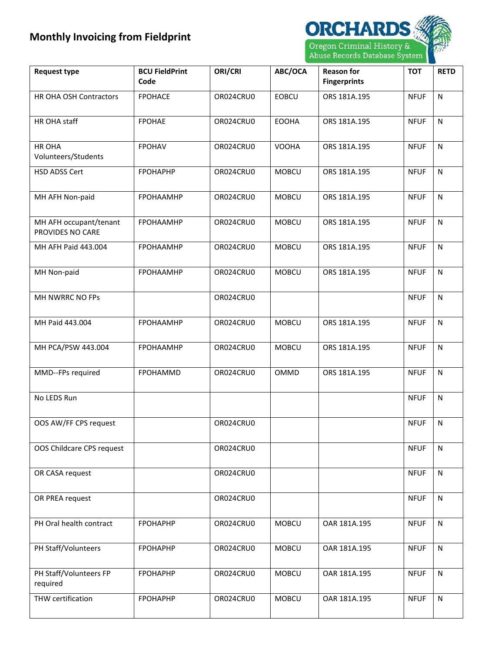

| <b>Request type</b>                        | <b>BCU FieldPrint</b><br>Code | ORI/CRI   | ABC/OCA      | <b>Reason for</b><br><b>Fingerprints</b> | <b>TOT</b>  | <b>RETD</b>  |
|--------------------------------------------|-------------------------------|-----------|--------------|------------------------------------------|-------------|--------------|
| HR OHA OSH Contractors                     | <b>FPOHACE</b>                | OR024CRU0 | <b>EOBCU</b> | ORS 181A.195                             | <b>NFUF</b> | $\mathsf{N}$ |
| HR OHA staff                               | <b>FPOHAE</b>                 | OR024CRU0 | <b>EOOHA</b> | ORS 181A.195                             | <b>NFUF</b> | $\mathsf{N}$ |
| HR OHA<br>Volunteers/Students              | <b>FPOHAV</b>                 | OR024CRU0 | <b>VOOHA</b> | ORS 181A.195                             | <b>NFUF</b> | N            |
| <b>HSD ADSS Cert</b>                       | <b>FPOHAPHP</b>               | OR024CRU0 | <b>MOBCU</b> | ORS 181A.195                             | <b>NFUF</b> | $\mathsf{N}$ |
| MH AFH Non-paid                            | <b>FPOHAAMHP</b>              | OR024CRU0 | <b>MOBCU</b> | ORS 181A.195                             | <b>NFUF</b> | $\mathsf{N}$ |
| MH AFH occupant/tenant<br>PROVIDES NO CARE | FPOHAAMHP                     | OR024CRU0 | <b>MOBCU</b> | ORS 181A.195                             | <b>NFUF</b> | $\mathsf{N}$ |
| MH AFH Paid 443.004                        | <b>FPOHAAMHP</b>              | OR024CRU0 | <b>MOBCU</b> | ORS 181A.195                             | <b>NFUF</b> | ${\sf N}$    |
| MH Non-paid                                | <b>FPOHAAMHP</b>              | OR024CRU0 | <b>MOBCU</b> | ORS 181A.195                             | <b>NFUF</b> | $\mathsf{N}$ |
| MH NWRRC NO FPs                            |                               | OR024CRU0 |              |                                          | <b>NFUF</b> | ${\sf N}$    |
| MH Paid 443.004                            | <b>FPOHAAMHP</b>              | OR024CRU0 | <b>MOBCU</b> | ORS 181A.195                             | <b>NFUF</b> | $\mathsf{N}$ |
| MH PCA/PSW 443.004                         | <b>FPOHAAMHP</b>              | OR024CRU0 | <b>MOBCU</b> | ORS 181A.195                             | <b>NFUF</b> | ${\sf N}$    |
| MMD--FPs required                          | <b>FPOHAMMD</b>               | OR024CRU0 | OMMD         | ORS 181A.195                             | <b>NFUF</b> | $\mathsf{N}$ |
| No LEDS Run                                |                               |           |              |                                          | <b>NFUF</b> | ${\sf N}$    |
| OOS AW/FF CPS request                      |                               | OR024CRU0 |              |                                          | <b>NFUF</b> | N            |
| OOS Childcare CPS request                  |                               | OR024CRU0 |              |                                          | <b>NFUF</b> | N            |
| OR CASA request                            |                               | OR024CRU0 |              |                                          | <b>NFUF</b> | $\mathsf{N}$ |
| OR PREA request                            |                               | OR024CRU0 |              |                                          | <b>NFUF</b> | N            |
| PH Oral health contract                    | <b>FPOHAPHP</b>               | OR024CRU0 | <b>MOBCU</b> | OAR 181A.195                             | <b>NFUF</b> | N            |
| PH Staff/Volunteers                        | <b>FPOHAPHP</b>               | OR024CRU0 | <b>MOBCU</b> | OAR 181A.195                             | <b>NFUF</b> | N            |
| PH Staff/Volunteers FP<br>required         | <b>FPOHAPHP</b>               | OR024CRU0 | <b>MOBCU</b> | OAR 181A.195                             | <b>NFUF</b> | N            |
| THW certification                          | <b>FPOHAPHP</b>               | OR024CRU0 | <b>MOBCU</b> | OAR 181A.195                             | <b>NFUF</b> | $\mathsf{N}$ |